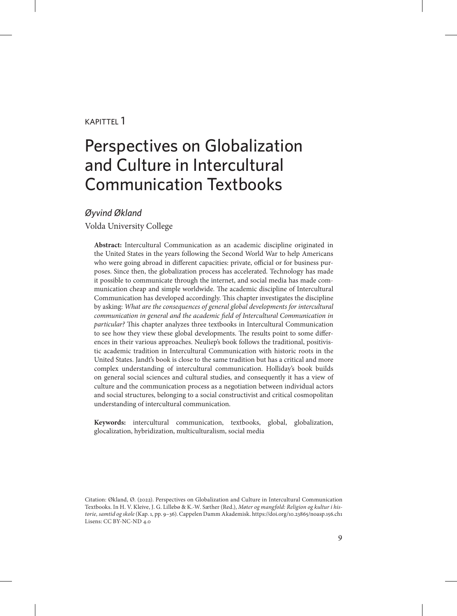#### kapittel 1

# Perspectives on Globalization and Culture in Intercultural Communication Textbooks

#### *Øyvind Økland*

Volda University College

**Abstract:** Intercultural Communication as an academic discipline originated in the United States in the years following the Second World War to help Americans who were going abroad in different capacities: private, official or for business purposes. Since then, the globalization process has accelerated. Technology has made it possible to communicate through the internet, and social media has made communication cheap and simple worldwide. The academic discipline of Intercultural Communication has developed accordingly. This chapter investigates the discipline by asking: *What are the consequences of general global developments for intercultural*  communication in general and the academic field of Intercultural Communication in *particular?* This chapter analyzes three textbooks in Intercultural Communication to see how they view these global developments. The results point to some differences in their various approaches. Neuliep's book follows the traditional, positivistic academic tradition in Intercultural Communication with historic roots in the United States. Jandt's book is close to the same tradition but has a critical and more complex understanding of intercultural communication. Holliday's book builds on general social sciences and cultural studies, and consequently it has a view of culture and the communication process as a negotiation between individual actors and social structures, belonging to a social constructivist and critical cosmopolitan understanding of intercultural communication.

**Keywords:** intercultural communication, textbooks, global, globalization, glocalization, hybridization, multiculturalism, social media

Citation: Økland, Ø. (2022). Perspectives on Globalization and Culture in Intercultural Communication Textbooks. In H. V. Kleive, J. G. Lillebø & K.-W. Sæther (Red.), *Møter og mangfold: Religion og kultur i historie, samtid og skole* (Kap. 1, pp. 9–36). Cappelen Damm Akademisk. https://doi.org/10.23865/noasp.156.ch1 Lisens: CC BY-NC-ND 4.0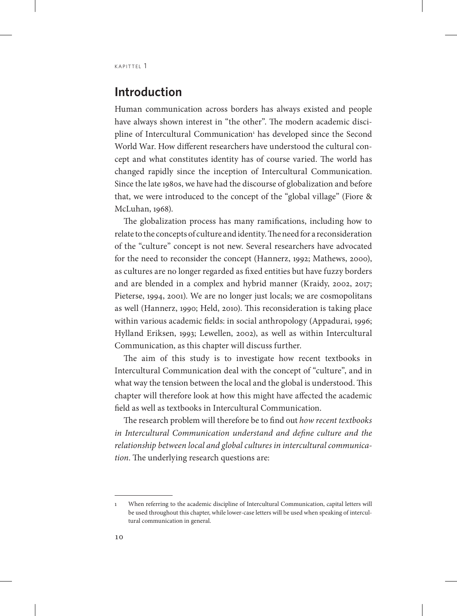# **Introduction**

Human communication across borders has always existed and people have always shown interest in "the other". The modern academic discipline of Intercultural Communication<sup>1</sup> has developed since the Second World War. How different researchers have understood the cultural concept and what constitutes identity has of course varied. The world has changed rapidly since the inception of Intercultural Communication. Since the late 1980s, we have had the discourse of globalization and before that, we were introduced to the concept of the "global village" (Fiore & McLuhan, 1968).

The globalization process has many ramifications, including how to relate to the concepts of culture and identity. The need for a reconsideration of the "culture" concept is not new. Several researchers have advocated for the need to reconsider the concept (Hannerz, 1992; Mathews, 2000), as cultures are no longer regarded as fixed entities but have fuzzy borders and are blended in a complex and hybrid manner (Kraidy, 2002, 2017; Pieterse, 1994, 2001). We are no longer just locals; we are cosmopolitans as well (Hannerz, 1990; Held, 2010). This reconsideration is taking place within various academic fields: in social anthropology (Appadurai, 1996; Hylland Eriksen, 1993; Lewellen, 2002), as well as within Intercultural Communication, as this chapter will discuss further.

The aim of this study is to investigate how recent textbooks in Intercultural Communication deal with the concept of "culture", and in what way the tension between the local and the global is understood. This chapter will therefore look at how this might have affected the academic field as well as textbooks in Intercultural Communication.

The research problem will therefore be to find out *how recent textbooks in Intercultural Communication understand and define culture and the relationship between local and global cultures in intercultural communication*. The underlying research questions are:

<sup>1</sup> When referring to the academic discipline of Intercultural Communication, capital letters will be used throughout this chapter, while lower-case letters will be used when speaking of intercultural communication in general.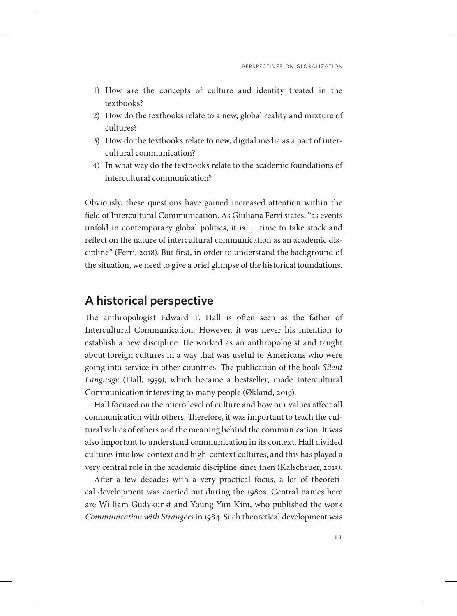- 1) How are the concepts of culture and identity treated in the textbooks?
- 2) How do the textbooks relate to a new, global reality and mixture of cultures?
- 3) How do the textbooks relate to new, digital media as a part of intercultural communication?
- 4) In what way do the textbooks relate to the academic foundations of intercultural communication?

Obviously, these questions have gained increased attention within the field of Intercultural Communication. As Giuliana Ferri states, "as events unfold in contemporary global politics, it is … time to take stock and reflect on the nature of intercultural communication as an academic discipline" (Ferri, 2018). But first, in order to understand the background of the situation, we need to give a brief glimpse of the historical foundations.

## **A historical perspective**

The anthropologist Edward T. Hall is often seen as the father of Intercultural Communication. However, it was never his intention to establish a new discipline. He worked as an anthropologist and taught about foreign cultures in a way that was useful to Americans who were going into service in other countries. The publication of the book *Silent Language* (Hall, 1959), which became a bestseller, made Intercultural Communication interesting to many people (Økland, 2019).

Hall focused on the micro level of culture and how our values affect all communication with others. Therefore, it was important to teach the cultural values of others and the meaning behind the communication. It was also important to understand communication in its context. Hall divided cultures into low-context and high-context cultures, and this has played a very central role in the academic discipline since then (Kalscheuer, 2013).

After a few decades with a very practical focus, a lot of theoretical development was carried out during the 1980s. Central names here are William Gudykunst and Young Yun Kim, who published the work *Communication with Strangers* in 1984. Such theoretical development was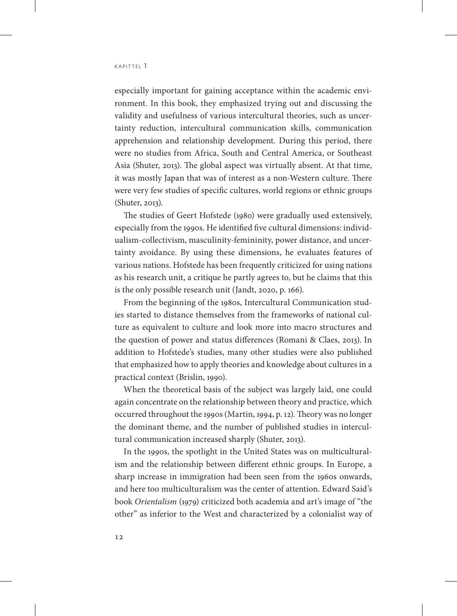especially important for gaining acceptance within the academic environment. In this book, they emphasized trying out and discussing the validity and usefulness of various intercultural theories, such as uncertainty reduction, intercultural communication skills, communication apprehension and relationship development. During this period, there were no studies from Africa, South and Central America, or Southeast Asia (Shuter, 2013). The global aspect was virtually absent. At that time, it was mostly Japan that was of interest as a non-Western culture. There were very few studies of specific cultures, world regions or ethnic groups (Shuter, 2013).

The studies of Geert Hofstede (1980) were gradually used extensively, especially from the 1990s. He identified five cultural dimensions: individualism-collectivism, masculinity-femininity, power distance, and uncertainty avoidance. By using these dimensions, he evaluates features of various nations. Hofstede has been frequently criticized for using nations as his research unit, a critique he partly agrees to, but he claims that this is the only possible research unit (Jandt, 2020, p. 166).

From the beginning of the 1980s, Intercultural Communication studies started to distance themselves from the frameworks of national culture as equivalent to culture and look more into macro structures and the question of power and status differences (Romani & Claes, 2013). In addition to Hofstede's studies, many other studies were also published that emphasized how to apply theories and knowledge about cultures in a practical context (Brislin, 1990).

When the theoretical basis of the subject was largely laid, one could again concentrate on the relationship between theory and practice, which occurred throughout the 1990s (Martin, 1994, p. 12). Theory was no longer the dominant theme, and the number of published studies in intercultural communication increased sharply (Shuter, 2013).

In the 1990s, the spotlight in the United States was on multiculturalism and the relationship between different ethnic groups. In Europe, a sharp increase in immigration had been seen from the 1960s onwards, and here too multiculturalism was the center of attention. Edward Said's book *Orientalism* (1979) criticized both academia and art's image of "the other" as inferior to the West and characterized by a colonialist way of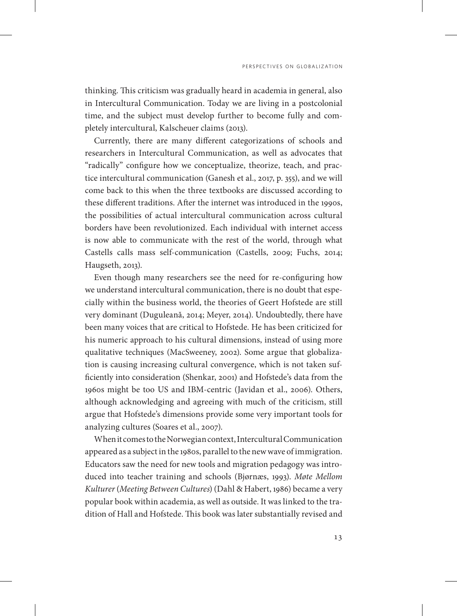PERSPECTIVES ON GLOBALIZATION

thinking. This criticism was gradually heard in academia in general, also in Intercultural Communication. Today we are living in a postcolonial time, and the subject must develop further to become fully and completely intercultural, Kalscheuer claims (2013).

Currently, there are many different categorizations of schools and researchers in Intercultural Communication, as well as advocates that "radically" configure how we conceptualize, theorize, teach, and practice intercultural communication (Ganesh et al., 2017, p. 355), and we will come back to this when the three textbooks are discussed according to these different traditions. After the internet was introduced in the 1990s, the possibilities of actual intercultural communication across cultural borders have been revolutionized. Each individual with internet access is now able to communicate with the rest of the world, through what Castells calls mass self-communication (Castells, 2009; Fuchs, 2014; Haugseth, 2013).

Even though many researchers see the need for re-configuring how we understand intercultural communication, there is no doubt that especially within the business world, the theories of Geert Hofstede are still very dominant (Duguleană, 2014; Meyer, 2014). Undoubtedly, there have been many voices that are critical to Hofstede. He has been criticized for his numeric approach to his cultural dimensions, instead of using more qualitative techniques (MacSweeney, 2002). Some argue that globalization is causing increasing cultural convergence, which is not taken sufficiently into consideration (Shenkar, 2001) and Hofstede's data from the 1960s might be too US and IBM-centric (Javidan et al., 2006). Others, although acknowledging and agreeing with much of the criticism, still argue that Hofstede's dimensions provide some very important tools for analyzing cultures (Soares et al., 2007).

When it comes to the Norwegian context, Intercultural Communication appeared as a subject in the 1980s, parallel to the new wave of immigration. Educators saw the need for new tools and migration pedagogy was introduced into teacher training and schools (Bjørnæs, 1993). *Møte Mellom Kulturer* (*Meeting Between Cultures*) (Dahl & Habert, 1986) became a very popular book within academia, as well as outside. It was linked to the tradition of Hall and Hofstede. This book was later substantially revised and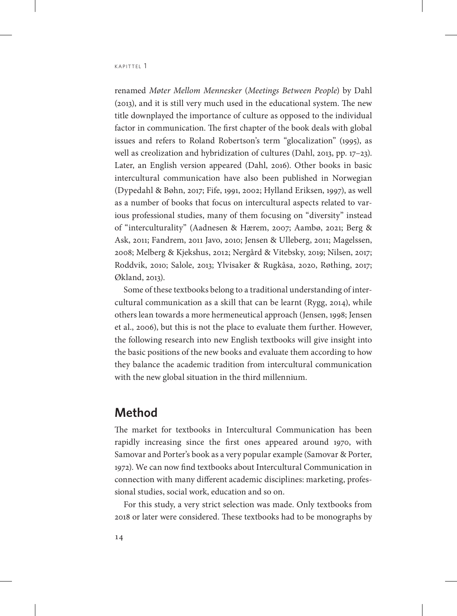renamed *Møter Mellom Mennesker* (*Meetings Between People*) by Dahl (2013), and it is still very much used in the educational system. The new title downplayed the importance of culture as opposed to the individual factor in communication. The first chapter of the book deals with global issues and refers to Roland Robertson's term "glocalization" (1995), as well as creolization and hybridization of cultures (Dahl, 2013, pp. 17–23). Later, an English version appeared (Dahl, 2016). Other books in basic intercultural communication have also been published in Norwegian (Dypedahl & Bøhn, 2017; Fife, 1991, 2002; Hylland Eriksen, 1997), as well as a number of books that focus on intercultural aspects related to various professional studies, many of them focusing on "diversity" instead of "interculturality" (Aadnesen & Hærem, 2007; Aambø, 2021; Berg & Ask, 2011; Fandrem, 2011 Javo, 2010; Jensen & Ulleberg, 2011; Magelssen, 2008; Melberg & Kjekshus, 2012; Nergård & Vitebsky, 2019; Nilsen, 2017; Roddvik, 2010; Salole, 2013; Ylvisaker & Rugkåsa, 2020, Røthing, 2017; Økland, 2013).

Some of these textbooks belong to a traditional understanding of intercultural communication as a skill that can be learnt (Rygg, 2014), while others lean towards a more hermeneutical approach (Jensen, 1998; Jensen et al., 2006), but this is not the place to evaluate them further. However, the following research into new English textbooks will give insight into the basic positions of the new books and evaluate them according to how they balance the academic tradition from intercultural communication with the new global situation in the third millennium.

## **Method**

The market for textbooks in Intercultural Communication has been rapidly increasing since the first ones appeared around 1970, with Samovar and Porter's book as a very popular example (Samovar & Porter, 1972). We can now find textbooks about Intercultural Communication in connection with many different academic disciplines: marketing, professional studies, social work, education and so on.

For this study, a very strict selection was made. Only textbooks from 2018 or later were considered. These textbooks had to be monographs by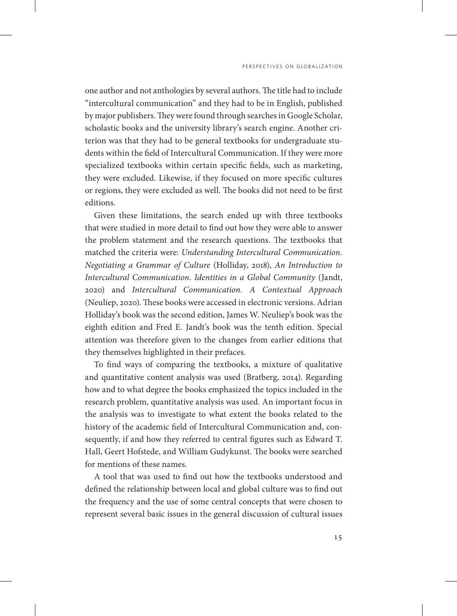one author and not anthologies by several authors. The title had to include "intercultural communication" and they had to be in English, published by major publishers. They were found through searches in Google Scholar, scholastic books and the university library's search engine. Another criterion was that they had to be general textbooks for undergraduate students within the field of Intercultural Communication. If they were more specialized textbooks within certain specific fields, such as marketing, they were excluded. Likewise, if they focused on more specific cultures or regions, they were excluded as well. The books did not need to be first editions.

Given these limitations, the search ended up with three textbooks that were studied in more detail to find out how they were able to answer the problem statement and the research questions. The textbooks that matched the criteria were: *Understanding Intercultural Communication. Negotiating a Grammar of Culture* (Holliday, 2018), *An Introduction to Intercultural Communication*. *Identities in a Global Community* (Jandt, 2020) and *Intercultural Communication. A Contextual Approach* (Neuliep, 2020). These books were accessed in electronic versions. Adrian Holliday's book was the second edition, James W. Neuliep's book was the eighth edition and Fred E. Jandt's book was the tenth edition. Special attention was therefore given to the changes from earlier editions that they themselves highlighted in their prefaces.

To find ways of comparing the textbooks, a mixture of qualitative and quantitative content analysis was used (Bratberg, 2014). Regarding how and to what degree the books emphasized the topics included in the research problem, quantitative analysis was used. An important focus in the analysis was to investigate to what extent the books related to the history of the academic field of Intercultural Communication and, consequently, if and how they referred to central figures such as Edward T. Hall, Geert Hofstede, and William Gudykunst. The books were searched for mentions of these names.

A tool that was used to find out how the textbooks understood and defined the relationship between local and global culture was to find out the frequency and the use of some central concepts that were chosen to represent several basic issues in the general discussion of cultural issues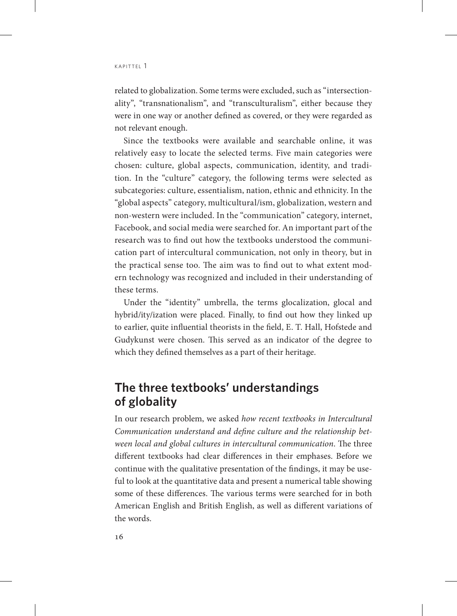related to globalization. Some terms were excluded, such as "intersectionality", "transnationalism", and "transculturalism", either because they were in one way or another defined as covered, or they were regarded as not relevant enough.

Since the textbooks were available and searchable online, it was relatively easy to locate the selected terms. Five main categories were chosen: culture, global aspects, communication, identity, and tradition. In the "culture" category, the following terms were selected as subcategories: culture, essentialism, nation, ethnic and ethnicity. In the "global aspects" category, multicultural/ism, globalization, western and non-western were included. In the "communication" category, internet, Facebook, and social media were searched for. An important part of the research was to find out how the textbooks understood the communication part of intercultural communication, not only in theory, but in the practical sense too. The aim was to find out to what extent modern technology was recognized and included in their understanding of these terms.

Under the "identity" umbrella, the terms glocalization, glocal and hybrid/ity/ization were placed. Finally, to find out how they linked up to earlier, quite influential theorists in the field, E. T. Hall, Hofstede and Gudykunst were chosen. This served as an indicator of the degree to which they defined themselves as a part of their heritage.

# **The three textbooks' understandings of globality**

In our research problem, we asked *how recent textbooks in Intercultural Communication understand and define culture and the relationship between local and global cultures in intercultural communication*. The three different textbooks had clear differences in their emphases. Before we continue with the qualitative presentation of the findings, it may be useful to look at the quantitative data and present a numerical table showing some of these differences. The various terms were searched for in both American English and British English, as well as different variations of the words.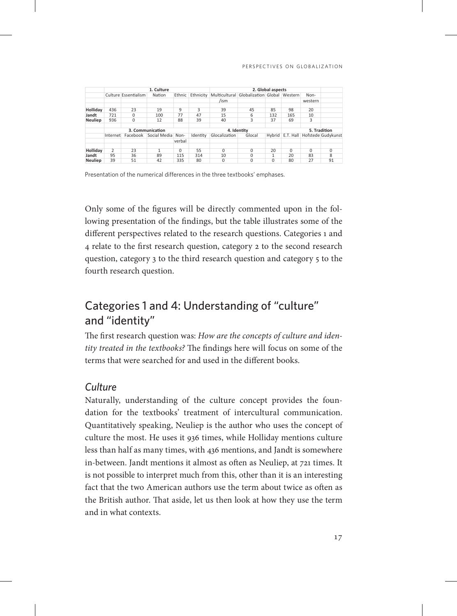|                | 1. Culture       |                      |                            |          |           | 2. Global aspects |                                            |     |          |              |                                         |  |
|----------------|------------------|----------------------|----------------------------|----------|-----------|-------------------|--------------------------------------------|-----|----------|--------------|-----------------------------------------|--|
|                |                  | Culture Essentialism | Nation                     | Ethnic   | Ethnicity |                   | Multicultural Globalization Global Western |     |          | Non-         |                                         |  |
|                |                  |                      |                            |          |           | /ism              |                                            |     |          | western      |                                         |  |
| Holliday       | 436              | 23                   | 19                         | 9        | 3         | 39                | 45                                         | 85  | 98       | 20           |                                         |  |
| Jandt          | 721              | 0                    | 100                        | 77       | 47        | 15                | 6                                          | 132 | 165      | 10           |                                         |  |
| <b>Neuliep</b> | 936              | 0                    | 12                         | 88       | 39        | 40                | 3                                          | 37  | 69       | 3            |                                         |  |
|                |                  |                      |                            |          |           |                   |                                            |     |          |              |                                         |  |
|                | 3. Communication |                      |                            |          |           | 4. Identity       |                                            |     |          | 5. Tradition |                                         |  |
|                | Internet         |                      | Facebook Social Media Non- |          | Identity  | Glocalization     | Glocal                                     |     |          |              | Hybrid   E.T. Hall   Hofstede Gudykunst |  |
|                |                  |                      |                            | verbal   |           |                   |                                            |     |          |              |                                         |  |
|                |                  |                      |                            |          |           |                   |                                            |     |          |              |                                         |  |
| Holliday       | 2                | 23                   |                            | $\Omega$ | 55        | 0                 | 0                                          | 20  | $\Omega$ | $\Omega$     | $\Omega$                                |  |
| Jandt          | 95               | 36                   | 89                         | 115      | 314       | 10                | $\Omega$                                   | 1   | 20       | 83           | 8                                       |  |
| <b>Neuliep</b> | 39               | 51                   | 42                         | 335      | 80        | 0                 | $\Omega$                                   | 0   | 80       | 27           | 91                                      |  |

Presentation of the numerical differences in the three textbooks' emphases.

Only some of the figures will be directly commented upon in the following presentation of the findings, but the table illustrates some of the different perspectives related to the research questions. Categories 1 and 4 relate to the first research question, category 2 to the second research question, category 3 to the third research question and category 5 to the fourth research question.

# Categories 1 and 4: Understanding of "culture" and "identity"

The first research question was: *How are the concepts of culture and identity treated in the textbooks?* The findings here will focus on some of the terms that were searched for and used in the different books.

## *Culture*

Naturally, understanding of the culture concept provides the foundation for the textbooks' treatment of intercultural communication. Quantitatively speaking, Neuliep is the author who uses the concept of culture the most. He uses it 936 times, while Holliday mentions culture less than half as many times, with 436 mentions, and Jandt is somewhere in-between. Jandt mentions it almost as often as Neuliep, at 721 times. It is not possible to interpret much from this, other than it is an interesting fact that the two American authors use the term about twice as often as the British author. That aside, let us then look at how they use the term and in what contexts.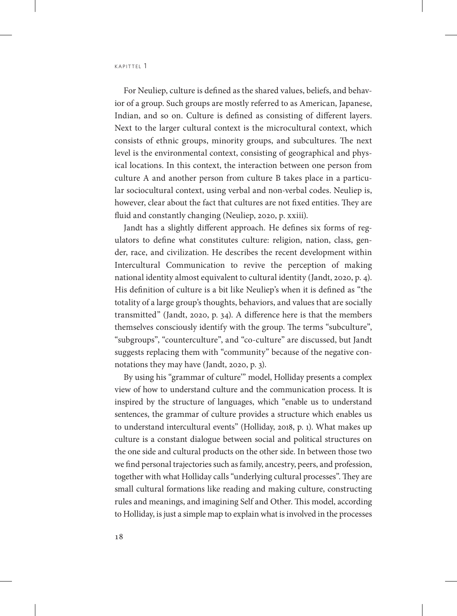For Neuliep, culture is defined as the shared values, beliefs, and behavior of a group. Such groups are mostly referred to as American, Japanese, Indian, and so on. Culture is defined as consisting of different layers. Next to the larger cultural context is the microcultural context, which consists of ethnic groups, minority groups, and subcultures. The next level is the environmental context, consisting of geographical and physical locations. In this context, the interaction between one person from culture A and another person from culture B takes place in a particular sociocultural context, using verbal and non-verbal codes. Neuliep is, however, clear about the fact that cultures are not fixed entities. They are fluid and constantly changing (Neuliep, 2020, p. xxiii).

Jandt has a slightly different approach. He defines six forms of regulators to define what constitutes culture: religion, nation, class, gender, race, and civilization. He describes the recent development within Intercultural Communication to revive the perception of making national identity almost equivalent to cultural identity (Jandt, 2020, p. 4). His definition of culture is a bit like Neuliep's when it is defined as "the totality of a large group's thoughts, behaviors, and values that are socially transmitted" (Jandt, 2020, p. 34). A difference here is that the members themselves consciously identify with the group. The terms "subculture", "subgroups", "counterculture", and "co-culture" are discussed, but Jandt suggests replacing them with "community" because of the negative connotations they may have (Jandt, 2020, p. 3).

By using his "grammar of culture'" model, Holliday presents a complex view of how to understand culture and the communication process. It is inspired by the structure of languages, which "enable us to understand sentences, the grammar of culture provides a structure which enables us to understand intercultural events" (Holliday, 2018, p. 1). What makes up culture is a constant dialogue between social and political structures on the one side and cultural products on the other side. In between those two we find personal trajectories such as family, ancestry, peers, and profession, together with what Holliday calls "underlying cultural processes". They are small cultural formations like reading and making culture, constructing rules and meanings, and imagining Self and Other. This model, according to Holliday, is just a simple map to explain what is involved in the processes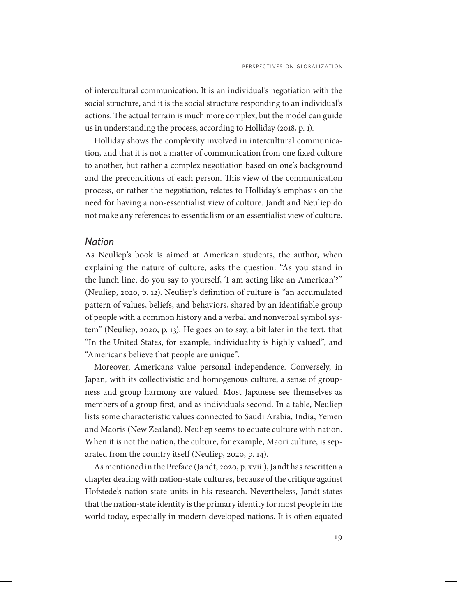of intercultural communication. It is an individual's negotiation with the social structure, and it is the social structure responding to an individual's actions. The actual terrain is much more complex, but the model can guide us in understanding the process, according to Holliday (2018, p. 1).

Holliday shows the complexity involved in intercultural communication, and that it is not a matter of communication from one fixed culture to another, but rather a complex negotiation based on one's background and the preconditions of each person. This view of the communication process, or rather the negotiation, relates to Holliday's emphasis on the need for having a non-essentialist view of culture. Jandt and Neuliep do not make any references to essentialism or an essentialist view of culture.

#### *Nation*

As Neuliep's book is aimed at American students, the author, when explaining the nature of culture, asks the question: "As you stand in the lunch line, do you say to yourself, 'I am acting like an American'?" (Neuliep, 2020, p. 12). Neuliep's definition of culture is "an accumulated pattern of values, beliefs, and behaviors, shared by an identifiable group of people with a common history and a verbal and nonverbal symbol system" (Neuliep, 2020, p. 13). He goes on to say, a bit later in the text, that "In the United States, for example, individuality is highly valued", and "Americans believe that people are unique".

Moreover, Americans value personal independence. Conversely, in Japan, with its collectivistic and homogenous culture, a sense of groupness and group harmony are valued. Most Japanese see themselves as members of a group first, and as individuals second. In a table, Neuliep lists some characteristic values connected to Saudi Arabia, India, Yemen and Maoris (New Zealand). Neuliep seems to equate culture with nation. When it is not the nation, the culture, for example, Maori culture, is separated from the country itself (Neuliep, 2020, p. 14).

As mentioned in the Preface (Jandt, 2020, p. xviii), Jandt has rewritten a chapter dealing with nation-state cultures, because of the critique against Hofstede's nation-state units in his research. Nevertheless, Jandt states that the nation-state identity is the primary identity for most people in the world today, especially in modern developed nations. It is often equated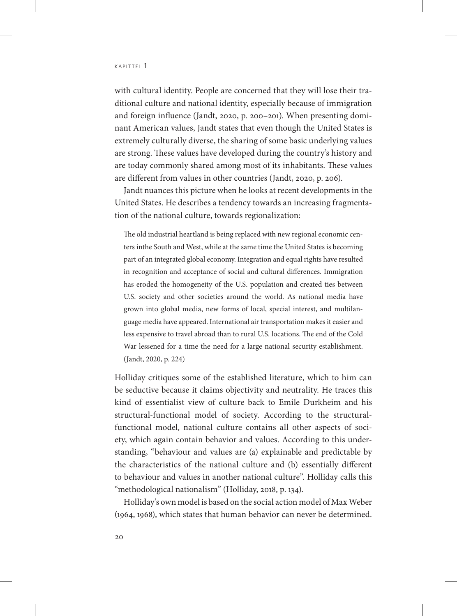with cultural identity. People are concerned that they will lose their traditional culture and national identity, especially because of immigration and foreign influence (Jandt, 2020, p. 200–201). When presenting dominant American values, Jandt states that even though the United States is extremely culturally diverse, the sharing of some basic underlying values are strong. These values have developed during the country's history and are today commonly shared among most of its inhabitants. These values are different from values in other countries (Jandt, 2020, p. 206).

Jandt nuances this picture when he looks at recent developments in the United States. He describes a tendency towards an increasing fragmentation of the national culture, towards regionalization:

The old industrial heartland is being replaced with new regional economic centers inthe South and West, while at the same time the United States is becoming part of an integrated global economy. Integration and equal rights have resulted in recognition and acceptance of social and cultural differences. Immigration has eroded the homogeneity of the U.S. population and created ties between U.S. society and other societies around the world. As national media have grown into global media, new forms of local, special interest, and multilanguage media have appeared. International air transportation makes it easier and less expensive to travel abroad than to rural U.S. locations. The end of the Cold War lessened for a time the need for a large national security establishment. (Jandt, 2020, p. 224)

Holliday critiques some of the established literature, which to him can be seductive because it claims objectivity and neutrality. He traces this kind of essentialist view of culture back to Emile Durkheim and his structural-functional model of society. According to the structuralfunctional model, national culture contains all other aspects of society, which again contain behavior and values. According to this understanding, "behaviour and values are (a) explainable and predictable by the characteristics of the national culture and (b) essentially different to behaviour and values in another national culture". Holliday calls this "methodological nationalism" (Holliday, 2018, p. 134).

Holliday's own model is based on the social action model of Max Weber (1964, 1968), which states that human behavior can never be determined.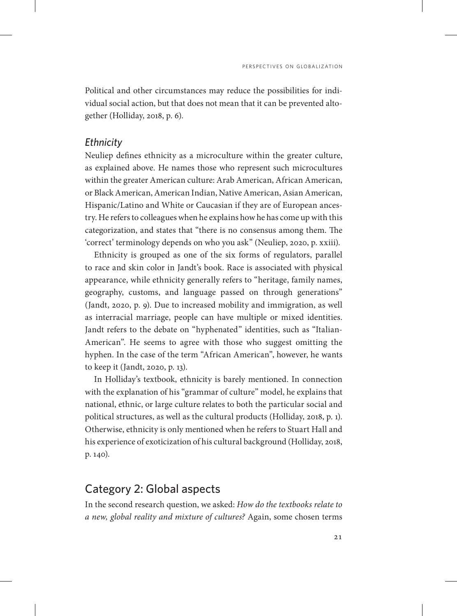Political and other circumstances may reduce the possibilities for individual social action, but that does not mean that it can be prevented altogether (Holliday, 2018, p. 6).

#### *Ethnicity*

Neuliep defines ethnicity as a microculture within the greater culture, as explained above. He names those who represent such microcultures within the greater American culture: Arab American, African American, or Black American, American Indian, Native American, Asian American, Hispanic/Latino and White or Caucasian if they are of European ancestry. He refers to colleagues when he explains how he has come up with this categorization, and states that "there is no consensus among them. The 'correct' terminology depends on who you ask" (Neuliep, 2020, p. xxiii).

Ethnicity is grouped as one of the six forms of regulators, parallel to race and skin color in Jandt's book. Race is associated with physical appearance, while ethnicity generally refers to "heritage, family names, geography, customs, and language passed on through generations" (Jandt, 2020, p. 9). Due to increased mobility and immigration, as well as interracial marriage, people can have multiple or mixed identities. Jandt refers to the debate on "hyphenated" identities, such as "Italian-American". He seems to agree with those who suggest omitting the hyphen. In the case of the term "African American", however, he wants to keep it (Jandt, 2020, p. 13).

In Holliday's textbook, ethnicity is barely mentioned. In connection with the explanation of his "grammar of culture" model, he explains that national, ethnic, or large culture relates to both the particular social and political structures, as well as the cultural products (Holliday, 2018, p. 1). Otherwise, ethnicity is only mentioned when he refers to Stuart Hall and his experience of exoticization of his cultural background (Holliday, 2018, p. 140).

## Category 2: Global aspects

In the second research question, we asked: *How do the textbooks relate to a new, global reality and mixture of cultures?* Again, some chosen terms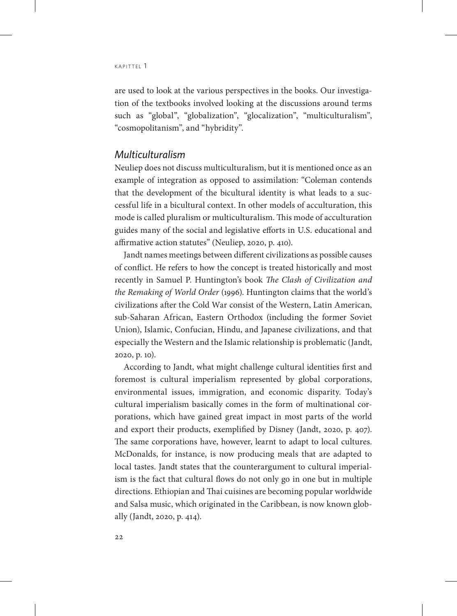$KAP$ ITTFI  $1$ 

are used to look at the various perspectives in the books. Our investigation of the textbooks involved looking at the discussions around terms such as "global", "globalization", "glocalization", "multiculturalism", "cosmopolitanism", and "hybridity".

## *Multiculturalism*

Neuliep does not discuss multiculturalism, but it is mentioned once as an example of integration as opposed to assimilation: "Coleman contends that the development of the bicultural identity is what leads to a successful life in a bicultural context. In other models of acculturation, this mode is called pluralism or multiculturalism. This mode of acculturation guides many of the social and legislative efforts in U.S. educational and affirmative action statutes" (Neuliep, 2020, p. 410).

Jandt names meetings between different civilizations as possible causes of conflict. He refers to how the concept is treated historically and most recently in Samuel P. Huntington's book *The Clash of Civilization and the Remaking of World Order* (1996). Huntington claims that the world's civilizations after the Cold War consist of the Western, Latin American, sub-Saharan African, Eastern Orthodox (including the former Soviet Union), Islamic, Confucian, Hindu, and Japanese civilizations, and that especially the Western and the Islamic relationship is problematic (Jandt, 2020, p. 10).

According to Jandt, what might challenge cultural identities first and foremost is cultural imperialism represented by global corporations, environmental issues, immigration, and economic disparity. Today's cultural imperialism basically comes in the form of multinational corporations, which have gained great impact in most parts of the world and export their products, exemplified by Disney (Jandt, 2020, p. 407). The same corporations have, however, learnt to adapt to local cultures. McDonalds, for instance, is now producing meals that are adapted to local tastes. Jandt states that the counterargument to cultural imperialism is the fact that cultural flows do not only go in one but in multiple directions. Ethiopian and Thai cuisines are becoming popular worldwide and Salsa music, which originated in the Caribbean, is now known globally (Jandt, 2020, p. 414).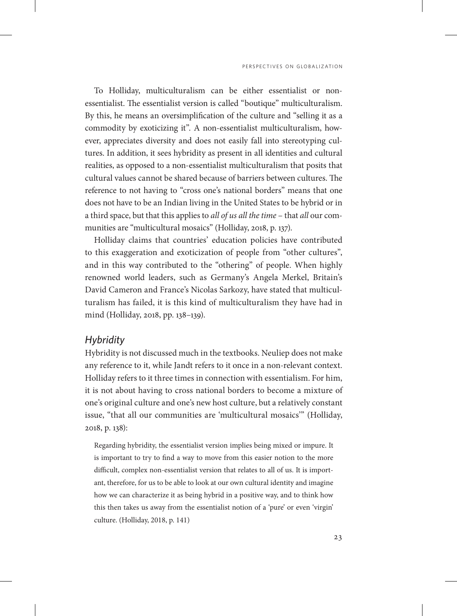To Holliday, multiculturalism can be either essentialist or nonessentialist. The essentialist version is called "boutique" multiculturalism. By this, he means an oversimplification of the culture and "selling it as a commodity by exoticizing it". A non-essentialist multiculturalism, however, appreciates diversity and does not easily fall into stereotyping cultures. In addition, it sees hybridity as present in all identities and cultural realities, as opposed to a non-essentialist multiculturalism that posits that cultural values cannot be shared because of barriers between cultures. The reference to not having to "cross one's national borders" means that one does not have to be an Indian living in the United States to be hybrid or in a third space, but that this applies to *all of us all the time* – that *all* our communities are "multicultural mosaics" (Holliday, 2018, p. 137).

Holliday claims that countries' education policies have contributed to this exaggeration and exoticization of people from "other cultures", and in this way contributed to the "othering" of people. When highly renowned world leaders, such as Germany's Angela Merkel, Britain's David Cameron and France's Nicolas Sarkozy, have stated that multiculturalism has failed, it is this kind of multiculturalism they have had in mind (Holliday, 2018, pp. 138–139).

#### *Hybridity*

Hybridity is not discussed much in the textbooks. Neuliep does not make any reference to it, while Jandt refers to it once in a non-relevant context. Holliday refers to it three times in connection with essentialism. For him, it is not about having to cross national borders to become a mixture of one's original culture and one's new host culture, but a relatively constant issue, "that all our communities are 'multicultural mosaics'" (Holliday, 2018, p. 138):

Regarding hybridity, the essentialist version implies being mixed or impure. It is important to try to find a way to move from this easier notion to the more difficult, complex non-essentialist version that relates to all of us. It is important, therefore, for us to be able to look at our own cultural identity and imagine how we can characterize it as being hybrid in a positive way, and to think how this then takes us away from the essentialist notion of a 'pure' or even 'virgin' culture. (Holliday, 2018, p. 141)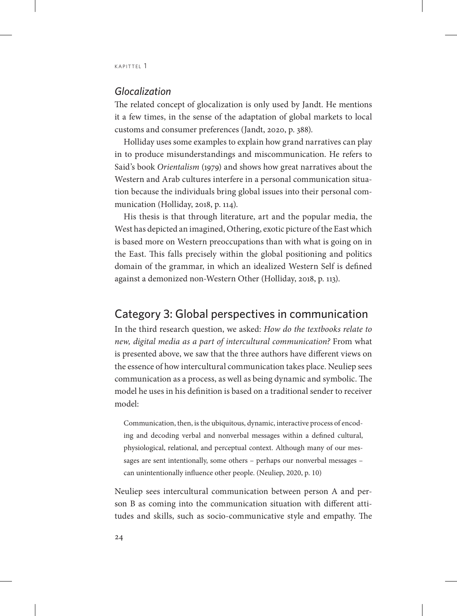## *Glocalization*

The related concept of glocalization is only used by Jandt. He mentions it a few times, in the sense of the adaptation of global markets to local customs and consumer preferences (Jandt, 2020, p. 388).

Holliday uses some examples to explain how grand narratives can play in to produce misunderstandings and miscommunication. He refers to Said's book *Orientalism* (1979) and shows how great narratives about the Western and Arab cultures interfere in a personal communication situation because the individuals bring global issues into their personal communication (Holliday, 2018, p. 114).

His thesis is that through literature, art and the popular media, the West has depicted an imagined, Othering, exotic picture of the East which is based more on Western preoccupations than with what is going on in the East. This falls precisely within the global positioning and politics domain of the grammar, in which an idealized Western Self is defined against a demonized non-Western Other (Holliday, 2018, p. 113).

## Category 3: Global perspectives in communication

In the third research question, we asked: *How do the textbooks relate to new, digital media as a part of intercultural communication?* From what is presented above, we saw that the three authors have different views on the essence of how intercultural communication takes place. Neuliep sees communication as a process, as well as being dynamic and symbolic. The model he uses in his definition is based on a traditional sender to receiver model:

Communication, then, is the ubiquitous, dynamic, interactive process of encoding and decoding verbal and nonverbal messages within a defined cultural, physiological, relational, and perceptual context. Although many of our messages are sent intentionally, some others – perhaps our nonverbal messages – can unintentionally influence other people. (Neuliep, 2020, p. 10)

Neuliep sees intercultural communication between person A and person B as coming into the communication situation with different attitudes and skills, such as socio-communicative style and empathy. The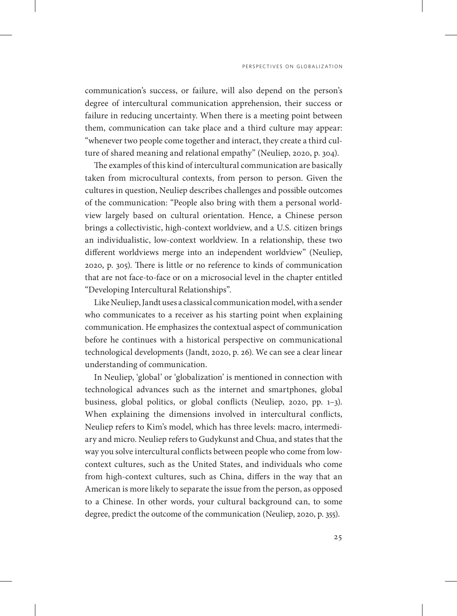communication's success, or failure, will also depend on the person's degree of intercultural communication apprehension, their success or failure in reducing uncertainty. When there is a meeting point between them, communication can take place and a third culture may appear: "whenever two people come together and interact, they create a third culture of shared meaning and relational empathy" (Neuliep, 2020, p. 304).

The examples of this kind of intercultural communication are basically taken from microcultural contexts, from person to person. Given the cultures in question, Neuliep describes challenges and possible outcomes of the communication: "People also bring with them a personal worldview largely based on cultural orientation. Hence, a Chinese person brings a collectivistic, high-context worldview, and a U.S. citizen brings an individualistic, low-context worldview. In a relationship, these two different worldviews merge into an independent worldview" (Neuliep, 2020, p. 305). There is little or no reference to kinds of communication that are not face-to-face or on a microsocial level in the chapter entitled "Developing Intercultural Relationships".

Like Neuliep, Jandt uses a classical communication model, with a sender who communicates to a receiver as his starting point when explaining communication. He emphasizes the contextual aspect of communication before he continues with a historical perspective on communicational technological developments (Jandt, 2020, p. 26). We can see a clear linear understanding of communication.

In Neuliep, 'global' or 'globalization' is mentioned in connection with technological advances such as the internet and smartphones, global business, global politics, or global conflicts (Neuliep, 2020, pp. 1–3). When explaining the dimensions involved in intercultural conflicts, Neuliep refers to Kim's model, which has three levels: macro, intermediary and micro. Neuliep refers to Gudykunst and Chua, and states that the way you solve intercultural conflicts between people who come from lowcontext cultures, such as the United States, and individuals who come from high-context cultures, such as China, differs in the way that an American is more likely to separate the issue from the person, as opposed to a Chinese. In other words, your cultural background can, to some degree, predict the outcome of the communication (Neuliep, 2020, p. 355).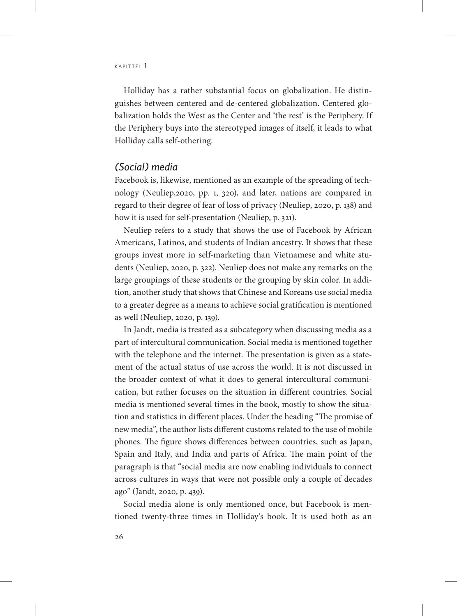Holliday has a rather substantial focus on globalization. He distinguishes between centered and de-centered globalization. Centered globalization holds the West as the Center and 'the rest' is the Periphery. If the Periphery buys into the stereotyped images of itself, it leads to what Holliday calls self-othering.

#### *(Social) media*

Facebook is, likewise, mentioned as an example of the spreading of technology (Neuliep,2020, pp. 1, 320), and later, nations are compared in regard to their degree of fear of loss of privacy (Neuliep, 2020, p. 138) and how it is used for self-presentation (Neuliep, p. 321).

Neuliep refers to a study that shows the use of Facebook by African Americans, Latinos, and students of Indian ancestry. It shows that these groups invest more in self-marketing than Vietnamese and white students (Neuliep, 2020, p. 322). Neuliep does not make any remarks on the large groupings of these students or the grouping by skin color. In addition, another study that shows that Chinese and Koreans use social media to a greater degree as a means to achieve social gratification is mentioned as well (Neuliep, 2020, p. 139).

In Jandt, media is treated as a subcategory when discussing media as a part of intercultural communication. Social media is mentioned together with the telephone and the internet. The presentation is given as a statement of the actual status of use across the world. It is not discussed in the broader context of what it does to general intercultural communication, but rather focuses on the situation in different countries. Social media is mentioned several times in the book, mostly to show the situation and statistics in different places. Under the heading "The promise of new media", the author lists different customs related to the use of mobile phones. The figure shows differences between countries, such as Japan, Spain and Italy, and India and parts of Africa. The main point of the paragraph is that "social media are now enabling individuals to connect across cultures in ways that were not possible only a couple of decades ago" (Jandt, 2020, p. 439).

Social media alone is only mentioned once, but Facebook is mentioned twenty-three times in Holliday's book. It is used both as an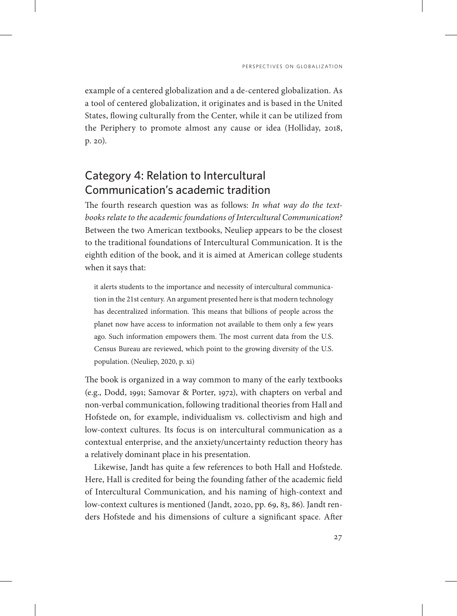example of a centered globalization and a de-centered globalization. As a tool of centered globalization, it originates and is based in the United States, flowing culturally from the Center, while it can be utilized from the Periphery to promote almost any cause or idea (Holliday, 2018, p. 20).

# Category 4: Relation to Intercultural Communication's academic tradition

The fourth research question was as follows: *In what way do the textbooks relate to the academic foundations of Intercultural Communication?*  Between the two American textbooks, Neuliep appears to be the closest to the traditional foundations of Intercultural Communication. It is the eighth edition of the book, and it is aimed at American college students when it says that:

it alerts students to the importance and necessity of intercultural communication in the 21st century. An argument presented here is that modern technology has decentralized information. This means that billions of people across the planet now have access to information not available to them only a few years ago. Such information empowers them. The most current data from the U.S. Census Bureau are reviewed, which point to the growing diversity of the U.S. population. (Neuliep, 2020, p. xi)

The book is organized in a way common to many of the early textbooks (e.g., Dodd, 1991; Samovar & Porter, 1972), with chapters on verbal and non-verbal communication, following traditional theories from Hall and Hofstede on, for example, individualism vs. collectivism and high and low-context cultures. Its focus is on intercultural communication as a contextual enterprise, and the anxiety/uncertainty reduction theory has a relatively dominant place in his presentation.

Likewise, Jandt has quite a few references to both Hall and Hofstede. Here, Hall is credited for being the founding father of the academic field of Intercultural Communication, and his naming of high-context and low-context cultures is mentioned (Jandt, 2020, pp. 69, 83, 86). Jandt renders Hofstede and his dimensions of culture a significant space. After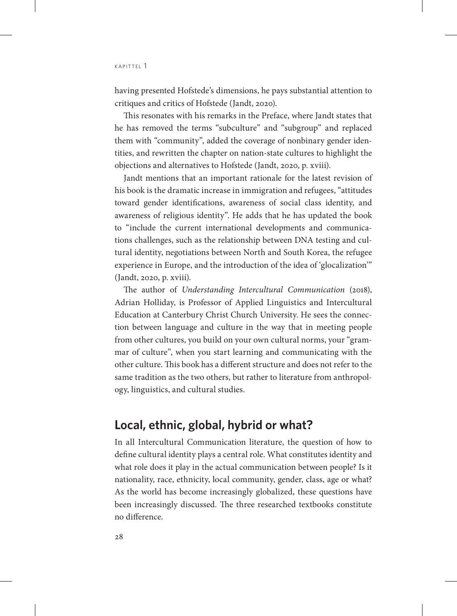having presented Hofstede's dimensions, he pays substantial attention to critiques and critics of Hofstede (Jandt, 2020).

This resonates with his remarks in the Preface, where Jandt states that he has removed the terms "subculture" and "subgroup" and replaced them with "community", added the coverage of nonbinary gender identities, and rewritten the chapter on nation-state cultures to highlight the objections and alternatives to Hofstede (Jandt, 2020, p. xviii).

Jandt mentions that an important rationale for the latest revision of his book is the dramatic increase in immigration and refugees, "attitudes toward gender identifications, awareness of social class identity, and awareness of religious identity". He adds that he has updated the book to "include the current international developments and communications challenges, such as the relationship between DNA testing and cultural identity, negotiations between North and South Korea, the refugee experience in Europe, and the introduction of the idea of 'glocalization'" (Jandt, 2020, p. xviii).

The author of *Understanding Intercultural Communication* (2018), Adrian Holliday, is Professor of Applied Linguistics and Intercultural Education at Canterbury Christ Church University. He sees the connection between language and culture in the way that in meeting people from other cultures, you build on your own cultural norms, your "grammar of culture", when you start learning and communicating with the other culture. This book has a different structure and does not refer to the same tradition as the two others, but rather to literature from anthropology, linguistics, and cultural studies.

## **Local, ethnic, global, hybrid or what?**

In all Intercultural Communication literature, the question of how to define cultural identity plays a central role. What constitutes identity and what role does it play in the actual communication between people? Is it nationality, race, ethnicity, local community, gender, class, age or what? As the world has become increasingly globalized, these questions have been increasingly discussed. The three researched textbooks constitute no difference.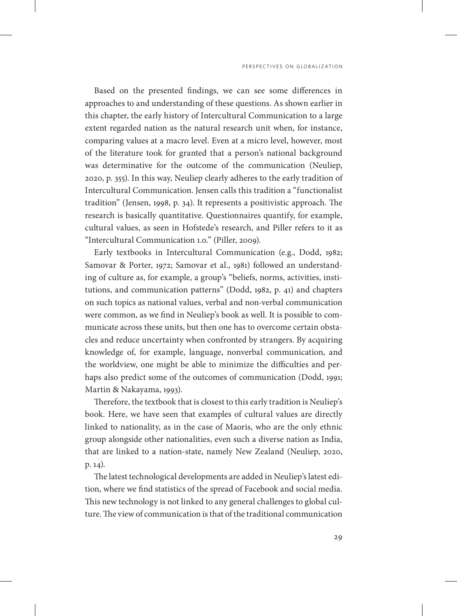Based on the presented findings, we can see some differences in approaches to and understanding of these questions. As shown earlier in this chapter, the early history of Intercultural Communication to a large extent regarded nation as the natural research unit when, for instance, comparing values at a macro level. Even at a micro level, however, most of the literature took for granted that a person's national background was determinative for the outcome of the communication (Neuliep, 2020, p. 355). In this way, Neuliep clearly adheres to the early tradition of Intercultural Communication. Jensen calls this tradition a "functionalist tradition" (Jensen, 1998, p. 34). It represents a positivistic approach. The research is basically quantitative. Questionnaires quantify, for example, cultural values, as seen in Hofstede's research, and Piller refers to it as "Intercultural Communication 1.0." (Piller, 2009).

Early textbooks in Intercultural Communication (e.g., Dodd, 1982; Samovar & Porter, 1972; Samovar et al., 1981) followed an understanding of culture as, for example, a group's "beliefs, norms, activities, institutions, and communication patterns" (Dodd, 1982, p. 41) and chapters on such topics as national values, verbal and non-verbal communication were common, as we find in Neuliep's book as well. It is possible to communicate across these units, but then one has to overcome certain obstacles and reduce uncertainty when confronted by strangers. By acquiring knowledge of, for example, language, nonverbal communication, and the worldview, one might be able to minimize the difficulties and perhaps also predict some of the outcomes of communication (Dodd, 1991; Martin & Nakayama, 1993).

Therefore, the textbook that is closest to this early tradition is Neuliep's book. Here, we have seen that examples of cultural values are directly linked to nationality, as in the case of Maoris, who are the only ethnic group alongside other nationalities, even such a diverse nation as India, that are linked to a nation-state, namely New Zealand (Neuliep, 2020, p. 14).

The latest technological developments are added in Neuliep's latest edition, where we find statistics of the spread of Facebook and social media. This new technology is not linked to any general challenges to global culture. The view of communication is that of the traditional communication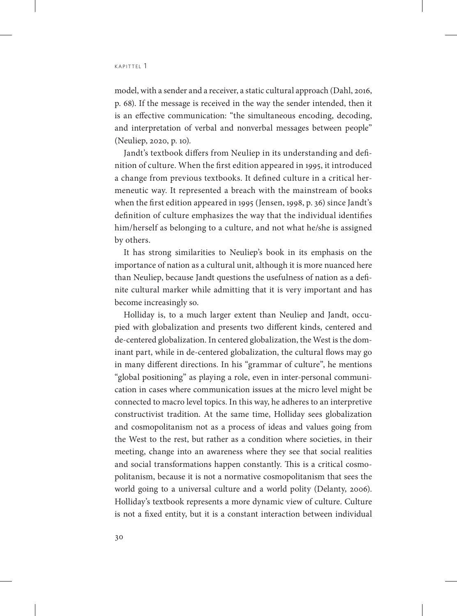model, with a sender and a receiver, a static cultural approach (Dahl, 2016, p. 68). If the message is received in the way the sender intended, then it is an effective communication: "the simultaneous encoding, decoding, and interpretation of verbal and nonverbal messages between people" (Neuliep, 2020, p. 10).

Jandt's textbook differs from Neuliep in its understanding and definition of culture. When the first edition appeared in 1995, it introduced a change from previous textbooks. It defined culture in a critical hermeneutic way. It represented a breach with the mainstream of books when the first edition appeared in 1995 (Jensen, 1998, p. 36) since Jandt's definition of culture emphasizes the way that the individual identifies him/herself as belonging to a culture, and not what he/she is assigned by others.

It has strong similarities to Neuliep's book in its emphasis on the importance of nation as a cultural unit, although it is more nuanced here than Neuliep, because Jandt questions the usefulness of nation as a definite cultural marker while admitting that it is very important and has become increasingly so.

Holliday is, to a much larger extent than Neuliep and Jandt, occupied with globalization and presents two different kinds, centered and de-centered globalization. In centered globalization, the West is the dominant part, while in de-centered globalization, the cultural flows may go in many different directions. In his "grammar of culture", he mentions "global positioning" as playing a role, even in inter-personal communication in cases where communication issues at the micro level might be connected to macro level topics. In this way, he adheres to an interpretive constructivist tradition. At the same time, Holliday sees globalization and cosmopolitanism not as a process of ideas and values going from the West to the rest, but rather as a condition where societies, in their meeting, change into an awareness where they see that social realities and social transformations happen constantly. This is a critical cosmopolitanism, because it is not a normative cosmopolitanism that sees the world going to a universal culture and a world polity (Delanty, 2006). Holliday's textbook represents a more dynamic view of culture. Culture is not a fixed entity, but it is a constant interaction between individual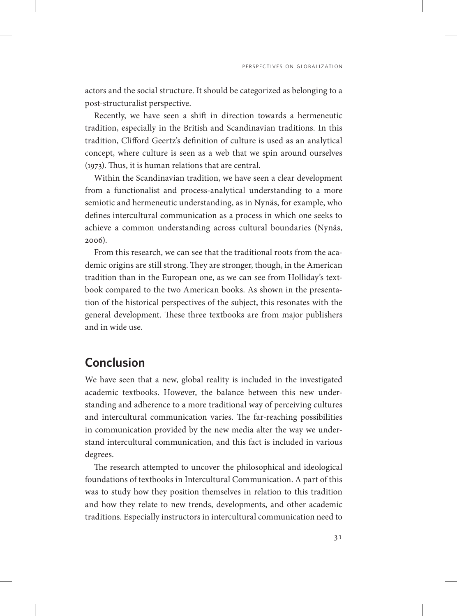actors and the social structure. It should be categorized as belonging to a post-structuralist perspective.

Recently, we have seen a shift in direction towards a hermeneutic tradition, especially in the British and Scandinavian traditions. In this tradition, Clifford Geertz's definition of culture is used as an analytical concept, where culture is seen as a web that we spin around ourselves (1973). Thus, it is human relations that are central.

Within the Scandinavian tradition, we have seen a clear development from a functionalist and process-analytical understanding to a more semiotic and hermeneutic understanding, as in Nynäs, for example, who defines intercultural communication as a process in which one seeks to achieve a common understanding across cultural boundaries (Nynäs, 2006).

From this research, we can see that the traditional roots from the academic origins are still strong. They are stronger, though, in the American tradition than in the European one, as we can see from Holliday's textbook compared to the two American books. As shown in the presentation of the historical perspectives of the subject, this resonates with the general development. These three textbooks are from major publishers and in wide use.

# **Conclusion**

We have seen that a new, global reality is included in the investigated academic textbooks. However, the balance between this new understanding and adherence to a more traditional way of perceiving cultures and intercultural communication varies. The far-reaching possibilities in communication provided by the new media alter the way we understand intercultural communication, and this fact is included in various degrees.

The research attempted to uncover the philosophical and ideological foundations of textbooks in Intercultural Communication. A part of this was to study how they position themselves in relation to this tradition and how they relate to new trends, developments, and other academic traditions. Especially instructors in intercultural communication need to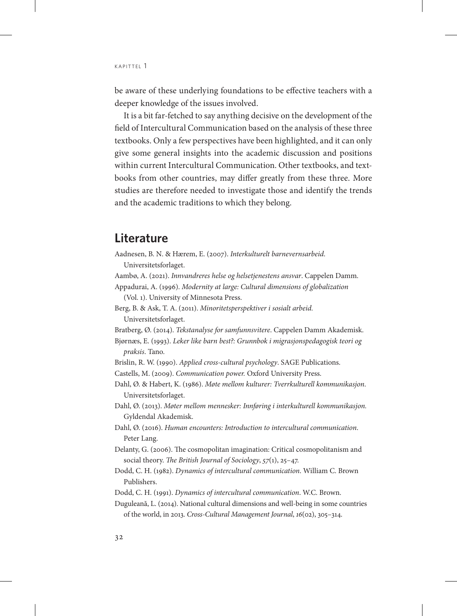be aware of these underlying foundations to be effective teachers with a deeper knowledge of the issues involved.

It is a bit far-fetched to say anything decisive on the development of the field of Intercultural Communication based on the analysis of these three textbooks. Only a few perspectives have been highlighted, and it can only give some general insights into the academic discussion and positions within current Intercultural Communication. Other textbooks, and textbooks from other countries, may differ greatly from these three. More studies are therefore needed to investigate those and identify the trends and the academic traditions to which they belong.

## **Literature**

Aadnesen, B. N. & Hærem, E. (2007). *Interkulturelt barnevernsarbeid*. Universitetsforlaget.

Aambø, A. (2021). *Innvandreres helse og helsetjenestens ansvar*. Cappelen Damm.

Appadurai, A. (1996). *Modernity at large: Cultural dimensions of globalization* (Vol. 1). University of Minnesota Press.

- Berg, B. & Ask, T. A. (2011). *Minoritetsperspektiver i sosialt arbeid.* Universitetsforlaget.
- Bratberg, Ø. (2014). *Tekstanalyse for samfunnsvitere*. Cappelen Damm Akademisk.
- Bjørnæs, E. (1993). *Leker like barn best?: Grunnbok i migrasjonspedagogisk teori og praksis*. Tano.
- Brislin, R. W. (1990). *Applied cross-cultural psychology*. SAGE Publications.

Castells, M. (2009). *Communication power.* Oxford University Press.

Dahl, Ø. & Habert, K. (1986). *Møte mellom kulturer: Tverrkulturell kommunikasjon*. Universitetsforlaget.

Dahl, Ø. (2013). *Møter mellom mennesker: Innføring i interkulturell kommunikasjon.* Gyldendal Akademisk.

- Dahl, Ø. (2016). *Human encounters: Introduction to intercultural communication*. Peter Lang.
- Delanty, G. (2006). The cosmopolitan imagination: Critical cosmopolitanism and social theory. *The British Journal of Sociology*, *57*(1), 25–47.
- Dodd, C. H. (1982). *Dynamics of intercultural communication*. William C. Brown Publishers.
- Dodd, C. H. (1991). *Dynamics of intercultural communication*. W.C. Brown.
- Duguleană, L. (2014). National cultural dimensions and well-being in some countries of the world, in 2013. *Cross-Cultural Management Journal*, *16*(02), 305–314.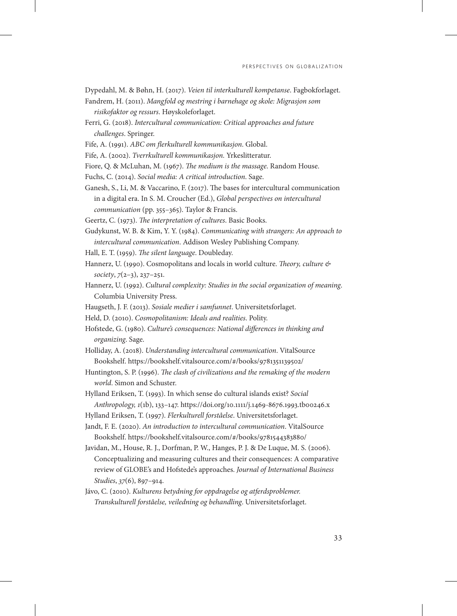Dypedahl, M. & Bøhn, H. (2017). *Veien til interkulturell kompetanse*. Fagbokforlaget.

- Fandrem, H. (2011). *Mangfold og mestring i barnehage og skole: Migrasjon som risikofaktor og ressurs*. Høyskoleforlaget.
- Ferri, G. (2018). *Intercultural communication: Critical approaches and future challenges*. Springer.
- Fife, A. (1991). *ABC om flerkulturell kommunikasjon*. Global.
- Fife, A. (2002). *Tverrkulturell kommunikasjon.* Yrkeslitteratur.
- Fiore, Q. & McLuhan, M. (1967). *The medium is the massage*. Random House.
- Fuchs, C. (2014). *Social media: A critical introduction*. Sage.
- Ganesh, S., Li, M. & Vaccarino, F. (2017). The bases for intercultural communication in a digital era. In S. M. Croucher (Ed.), *Global perspectives on intercultural communication* (pp. 355–365). Taylor & Francis.
- Geertz, C. (1973). *The interpretation of cultures*. Basic Books.
- Gudykunst, W. B. & Kim, Y. Y. (1984). *Communicating with strangers: An approach to intercultural communication*. Addison Wesley Publishing Company.
- Hall, E. T. (1959). *The silent language*. Doubleday.
- Hannerz, U. (1990). Cosmopolitans and locals in world culture. *Theory, culture & society*, *7*(2–3), 237–251.
- Hannerz, U. (1992). *Cultural complexity: Studies in the social organization of meaning*. Columbia University Press.
- Haugseth, J. F. (2013). *Sosiale medier i samfunnet*. Universitetsforlaget.
- Held, D. (2010). *Cosmopolitanism: Ideals and realities*. Polity.
- Hofstede, G. (1980). *Culture's consequences: National differences in thinking and organizing*. Sage.
- Holliday, A. (2018). *Understanding intercultural communication*. VitalSource Bookshelf. <https://bookshelf.vitalsource.com/#/books/9781351139502/>
- Huntington, S. P. (1996). *The clash of civilizations and the remaking of the modern world*. Simon and Schuster.
- Hylland Eriksen, T. (1993). In which sense do cultural islands exist? *Social Anthropology, 1*(1b), 133–147. https://doi.org/10.1111/j.1469-8676.1993.tb00246.x
- Hylland Eriksen, T. (1997). *Flerkulturell forståelse*. Universitetsforlaget.
- Jandt, F. E. (2020). *An introduction to intercultural communication*. VitalSource Bookshelf. <https://bookshelf.vitalsource.com/#/books/9781544383880/>
- Javidan, M., House, R. J., Dorfman, P. W., Hanges, P. J. & De Luque, M. S. (2006). Conceptualizing and measuring cultures and their consequences: A comparative review of GLOBE's and Hofstede's approaches. *Journal of International Business Studies*, *37*(6), 897–914.
- Jávo, C. (2010). *Kulturens betydning for oppdragelse og atferdsproblemer. Transkulturell forståelse, veiledning og behandling*. Universitetsforlaget.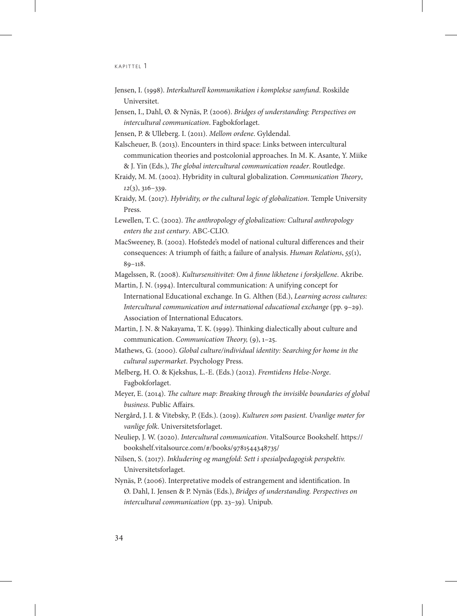- Jensen, I. (1998). *Interkulturell kommunikation i komplekse samfund*. Roskilde Universitet.
- Jensen, I., Dahl, Ø. & Nynäs, P. (2006). *Bridges of understanding: Perspectives on intercultural communication*. Fagbokforlaget.
- Jensen, P. & Ulleberg. I. (2011). *Mellom ordene*. Gyldendal.

Kalscheuer, B. (2013). Encounters in third space: Links between intercultural communication theories and postcolonial approaches. In M. K. Asante, Y. Miike & J. Yin (Eds.), *The global intercultural communication reader*. Routledge.

- Kraidy, M. M. (2002). Hybridity in cultural globalization. *Communication Theory*, *12*(3), 316–339.
- Kraidy, M. (2017). *Hybridity, or the cultural logic of globalization*. Temple University Press.
- Lewellen, T. C. (2002). *The anthropology of globalization: Cultural anthropology enters the 21st century*. ABC-CLIO.
- MacSweeney, B. (2002). Hofstede's model of national cultural differences and their consequences: A triumph of faith; a failure of analysis. *Human Relations*, *55*(1), 89–118.

Magelssen, R. (2008). *Kultursensitivitet: Om å finne likhetene i forskjellene*. Akribe.

- Martin, J. N. (1994). Intercultural communication: A unifying concept for International Educational exchange. In G. Althen (Ed.), *Learning across cultures: Intercultural communication and international educational exchange* (pp. 9–29). Association of International Educators.
- Martin, J. N. & Nakayama, T. K. (1999). Thinking dialectically about culture and communication. *Communication Theory,* (9), 1–25.

Mathews, G. (2000). *Global culture/individual identity: Searching for home in the cultural supermarket*. Psychology Press.

- Melberg, H. O. & Kjekshus, L.-E. (Eds.) (2012). *Fremtidens Helse-Norge*. Fagbokforlaget.
- Meyer, E. (2014). *The culture map: Breaking through the invisible boundaries of global business*. Public Affairs.
- Nergård, J. I. & Vitebsky, P. (Eds.). (2019). *Kulturen som pasient. Uvanlige møter for vanlige folk*. Universitetsforlaget.
- Neuliep, J. W. (2020). *Intercultural communication*. VitalSource Bookshelf. [https://](https://bookshelf.vitalsource.com/#/books/9781544348735/) [bookshelf.vitalsource.com/#/books/9781544348735/](https://bookshelf.vitalsource.com/#/books/9781544348735/)
- Nilsen, S. (2017). *Inkludering og mangfold: Sett i spesialpedagogisk perspektiv.*  Universitetsforlaget.
- Nynäs, P. (2006). Interpretative models of estrangement and identification. In Ø. Dahl, I. Jensen & P. Nynäs (Eds.), *Bridges of understanding. Perspectives on intercultural communication* (pp. 23–39)*.* Unipub.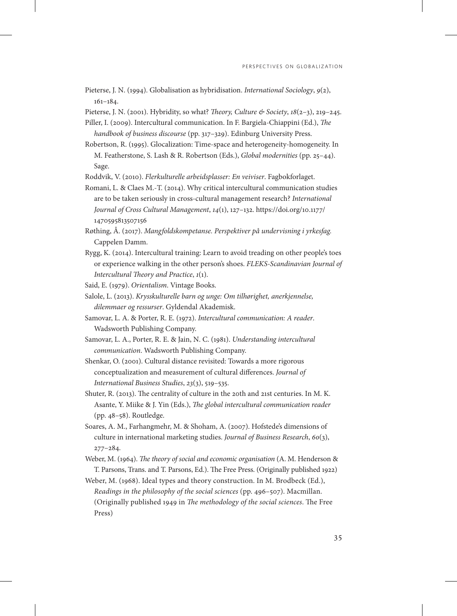Pieterse, J. N. (1994). Globalisation as hybridisation. *International Sociology*, *9*(2), 161–184.

Pieterse, J. N. (2001). Hybridity, so what? *Theory, Culture & Society*, *18*(2–3), 219–245.

Piller, I. (2009). Intercultural communication. In F. Bargiela-Chiappini (Ed.), *The handbook of business discourse* (pp. 317–329). Edinburg University Press.

Robertson, R. (1995). Glocalization: Time-space and heterogeneity-homogeneity. In M. Featherstone, S. Lash & R. Robertson (Eds.), *Global modernities* (pp. 25–44). Sage.

Roddvik, V. (2010). *Flerkulturelle arbeidsplasser: En veiviser*. Fagbokforlaget.

Romani, L. & Claes M.-T. (2014). Why critical intercultural communication studies are to be taken seriously in cross-cultural management research? *International Journal of Cross Cultural Management*, *14*(1), 127–132. [https://doi.org/10.1177/](https://doi.org/10.1177/1470595813507156) [1470595813507156](https://doi.org/10.1177/1470595813507156)

Røthing, Å. (2017). *Mangfoldskompetanse. Perspektiver på undervisning i yrkesfag.* Cappelen Damm.

Rygg, K. (2014). Intercultural training: Learn to avoid treading on other people's toes or experience walking in the other person's shoes. *FLEKS-Scandinavian Journal of Intercultural Theory and Practice*, *1*(1).

Said, E. (1979). *Orientalism*. Vintage Books.

- Salole, L. (2013). *Krysskulturelle barn og unge: Om tilhørighet, anerkjennelse, dilemmaer og ressurser*. Gyldendal Akademisk.
- Samovar, L. A. & Porter, R. E. (1972). *Intercultural communication: A reader*. Wadsworth Publishing Company.
- Samovar, L. A., Porter, R. E. & Jain, N. C. (1981). *Understanding intercultural communication*. Wadsworth Publishing Company.
- Shenkar, O. (2001). Cultural distance revisited: Towards a more rigorous conceptualization and measurement of cultural differences. *Journal of International Business Studies*, *23*(3), 519–535.
- Shuter, R. (2013). The centrality of culture in the 20th and 21st centuries. In M. K. Asante, Y. Miike & J. Yin (Eds.), *The global intercultural communication reader* (pp. 48–58). Routledge.
- Soares, A. M., Farhangmehr, M. & Shoham, A. (2007). Hofstede's dimensions of culture in international marketing studies. *Journal of Business Research*, *60*(3), 277–284.
- Weber, M. (1964). *The theory of social and economic organisation* (A. M. Henderson & T. Parsons, Trans. and T. Parsons, Ed.). The Free Press. (Originally published 1922)

Weber, M. (1968). Ideal types and theory construction. In M. Brodbeck (Ed.), *Readings in the philosophy of the social sciences* (pp. 496–507). Macmillan. (Originally published 1949 in *The methodology of the social sciences*. The Free Press)